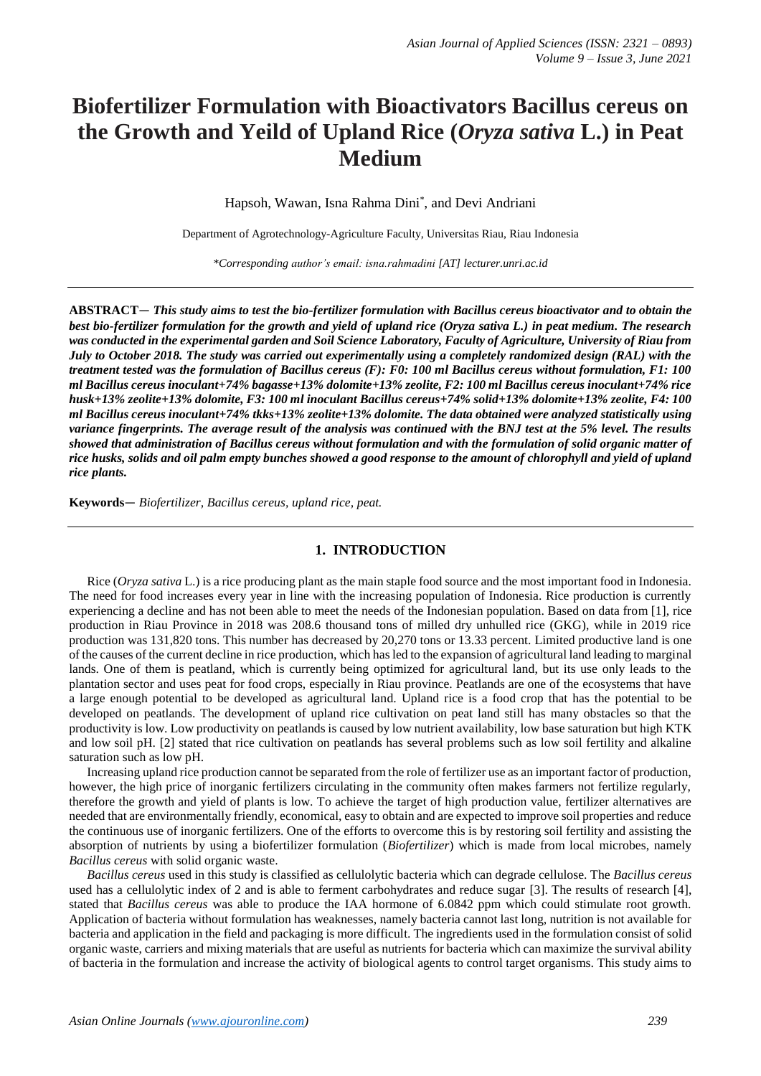# **Biofertilizer Formulation with Bioactivators Bacillus cereus on the Growth and Yeild of Upland Rice (***Oryza sativa* **L.) in Peat Medium**

Hapsoh, Wawan, Isna Rahma Dini\* , and Devi Andriani

Department of Agrotechnology-Agriculture Faculty, Universitas Riau, Riau Indonesia

*\*Corresponding author's email: isna.rahmadini [AT] lecturer.unri.ac.id*

**ABSTRACT**— *This study aims to test the bio-fertilizer formulation with Bacillus cereus bioactivator and to obtain the best bio-fertilizer formulation for the growth and yield of upland rice (Oryza sativa L.) in peat medium. The research was conducted in the experimental garden and Soil Science Laboratory, Faculty of Agriculture, University of Riau from July to October 2018. The study was carried out experimentally using a completely randomized design (RAL) with the treatment tested was the formulation of Bacillus cereus (F): F0: 100 ml Bacillus cereus without formulation, F1: 100 ml Bacillus cereus inoculant+74% bagasse+13% dolomite+13% zeolite, F2: 100 ml Bacillus cereus inoculant+74% rice husk+13% zeolite+13% dolomite, F3: 100 ml inoculant Bacillus cereus+74% solid+13% dolomite+13% zeolite, F4: 100 ml Bacillus cereus inoculant+74% tkks+13% zeolite+13% dolomite. The data obtained were analyzed statistically using variance fingerprints. The average result of the analysis was continued with the BNJ test at the 5% level. The results showed that administration of Bacillus cereus without formulation and with the formulation of solid organic matter of rice husks, solids and oil palm empty bunches showed a good response to the amount of chlorophyll and yield of upland rice plants.*

**Keywords**— *Biofertilizer, Bacillus cereus, upland rice, peat.*

## **1. INTRODUCTION**

Rice (*Oryza sativa* L.) is a rice producing plant as the main staple food source and the most important food in Indonesia. The need for food increases every year in line with the increasing population of Indonesia. Rice production is currently experiencing a decline and has not been able to meet the needs of the Indonesian population. Based on data from [1], rice production in Riau Province in 2018 was 208.6 thousand tons of milled dry unhulled rice (GKG), while in 2019 rice production was 131,820 tons. This number has decreased by 20,270 tons or 13.33 percent. Limited productive land is one of the causes of the current decline in rice production, which has led to the expansion of agricultural land leading to marginal lands. One of them is peatland, which is currently being optimized for agricultural land, but its use only leads to the plantation sector and uses peat for food crops, especially in Riau province. Peatlands are one of the ecosystems that have a large enough potential to be developed as agricultural land. Upland rice is a food crop that has the potential to be developed on peatlands. The development of upland rice cultivation on peat land still has many obstacles so that the productivity is low. Low productivity on peatlands is caused by low nutrient availability, low base saturation but high KTK and low soil pH. [2] stated that rice cultivation on peatlands has several problems such as low soil fertility and alkaline saturation such as low pH.

Increasing upland rice production cannot be separated from the role of fertilizer use as an important factor of production, however, the high price of inorganic fertilizers circulating in the community often makes farmers not fertilize regularly, therefore the growth and yield of plants is low. To achieve the target of high production value, fertilizer alternatives are needed that are environmentally friendly, economical, easy to obtain and are expected to improve soil properties and reduce the continuous use of inorganic fertilizers. One of the efforts to overcome this is by restoring soil fertility and assisting the absorption of nutrients by using a biofertilizer formulation (*Biofertilizer*) which is made from local microbes, namely *Bacillus cereus* with solid organic waste.

*Bacillus cereus* used in this study is classified as cellulolytic bacteria which can degrade cellulose. The *Bacillus cereus* used has a cellulolytic index of 2 and is able to ferment carbohydrates and reduce sugar [3]. The results of research [4], stated that *Bacillus cereus* was able to produce the IAA hormone of 6.0842 ppm which could stimulate root growth. Application of bacteria without formulation has weaknesses, namely bacteria cannot last long, nutrition is not available for bacteria and application in the field and packaging is more difficult. The ingredients used in the formulation consist of solid organic waste, carriers and mixing materials that are useful as nutrients for bacteria which can maximize the survival ability of bacteria in the formulation and increase the activity of biological agents to control target organisms. This study aims to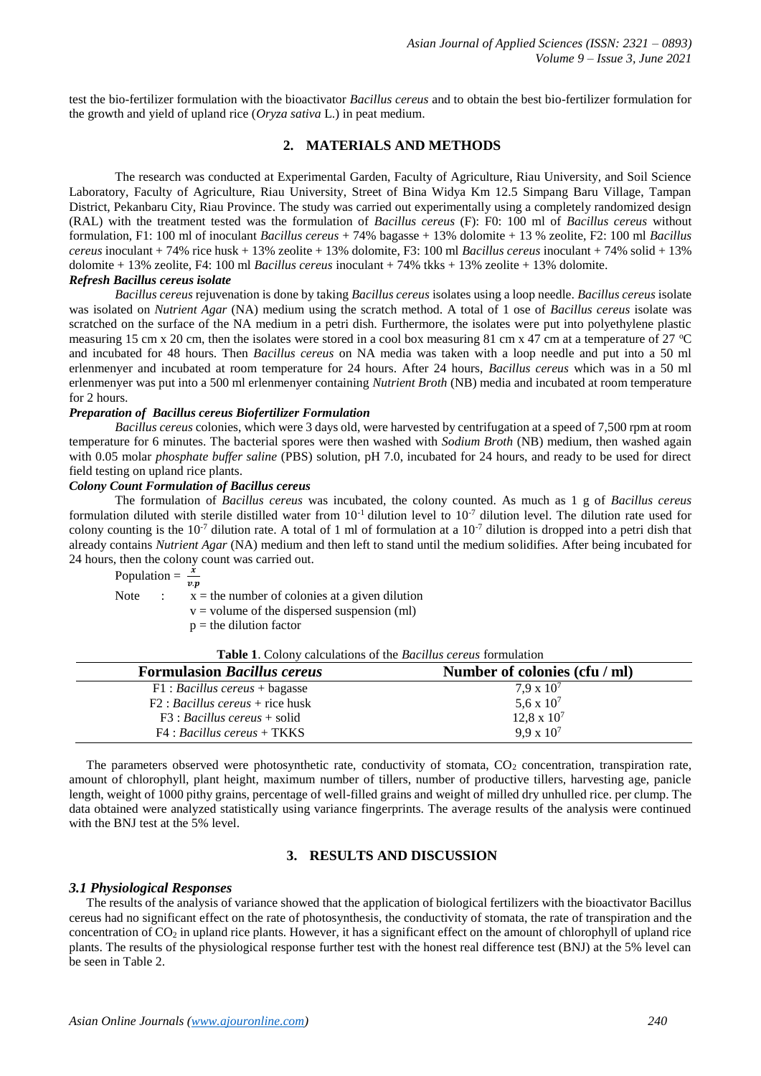test the bio-fertilizer formulation with the bioactivator *Bacillus cereus* and to obtain the best bio-fertilizer formulation for the growth and yield of upland rice (*Oryza sativa* L.) in peat medium.

## **2. MATERIALS AND METHODS**

The research was conducted at Experimental Garden, Faculty of Agriculture, Riau University, and Soil Science Laboratory, Faculty of Agriculture, Riau University, Street of Bina Widya Km 12.5 Simpang Baru Village, Tampan District, Pekanbaru City, Riau Province. The study was carried out experimentally using a completely randomized design (RAL) with the treatment tested was the formulation of *Bacillus cereus* (F): F0: 100 ml of *Bacillus cereus* without formulation, F1: 100 ml of inoculant *Bacillus cereus* + 74% bagasse + 13% dolomite + 13 % zeolite, F2: 100 ml *Bacillus cereus* inoculant + 74% rice husk + 13% zeolite + 13% dolomite, F3: 100 ml *Bacillus cereus* inoculant + 74% solid + 13% dolomite + 13% zeolite, F4: 100 ml *Bacillus cereus* inoculant + 74% tkks + 13% zeolite + 13% dolomite.

#### *Refresh Bacillus cereus isolate*

*Bacillus cereus* rejuvenation is done by taking *Bacillus cereus* isolates using a loop needle. *Bacillus cereus* isolate was isolated on *Nutrient Agar* (NA) medium using the scratch method. A total of 1 ose of *Bacillus cereus* isolate was scratched on the surface of the NA medium in a petri dish. Furthermore, the isolates were put into polyethylene plastic measuring 15 cm x 20 cm, then the isolates were stored in a cool box measuring 81 cm x 47 cm at a temperature of 27  $^{\circ}$ C and incubated for 48 hours. Then *Bacillus cereus* on NA media was taken with a loop needle and put into a 50 ml erlenmenyer and incubated at room temperature for 24 hours. After 24 hours, *Bacillus cereus* which was in a 50 ml erlenmenyer was put into a 500 ml erlenmenyer containing *Nutrient Broth* (NB) media and incubated at room temperature for 2 hours.

## *Preparation of Bacillus cereus Biofertilizer Formulation*

*Bacillus cereus* colonies, which were 3 days old, were harvested by centrifugation at a speed of 7,500 rpm at room temperature for 6 minutes. The bacterial spores were then washed with *Sodium Broth* (NB) medium, then washed again with 0.05 molar *phosphate buffer saline* (PBS) solution, pH 7.0, incubated for 24 hours, and ready to be used for direct field testing on upland rice plants.

## *Colony Count Formulation of Bacillus cereus*

The formulation of *Bacillus cereus* was incubated, the colony counted. As much as 1 g of *Bacillus cereus* formulation diluted with sterile distilled water from  $10^{-1}$  dilution level to  $10^{-7}$  dilution level. The dilution rate used for colony counting is the  $10^{-7}$  dilution rate. A total of 1 ml of formulation at a  $10^{-7}$  dilution is dropped into a petri dish that already contains *Nutrient Agar* (NA) medium and then left to stand until the medium solidifies. After being incubated for 24 hours, then the colony count was carried out.

Population  $=\frac{x}{x}$  $v.p$ 

Note :  $\dot{x}$  = the number of colonies at a given dilution

 $v =$  volume of the dispersed suspension (ml)

 $p =$  the dilution factor

| Table 1. Colony calculations of the Bacillus cereus formulation |  |
|-----------------------------------------------------------------|--|
|-----------------------------------------------------------------|--|

| <b>Formulasion Bacillus cereus</b> | Number of colonies (cfu / ml) |
|------------------------------------|-------------------------------|
| $F1: Bacillus$ cereus + bagasse    | $7.9 \times 10^7$             |
| $F2: Bacillus cereus + rice husk$  | 5,6 x $10^7$                  |
| $F3: Bacillus$ cereus + solid      | $12.8 \times 10^7$            |
| $F4: Bacillus$ cereus + TKKS       | $9.9 \times 10^{7}$           |

The parameters observed were photosynthetic rate, conductivity of stomata,  $CO<sub>2</sub>$  concentration, transpiration rate, amount of chlorophyll, plant height, maximum number of tillers, number of productive tillers, harvesting age, panicle length, weight of 1000 pithy grains, percentage of well-filled grains and weight of milled dry unhulled rice. per clump. The data obtained were analyzed statistically using variance fingerprints. The average results of the analysis were continued with the BNJ test at the 5% level.

# **3. RESULTS AND DISCUSSION**

#### *3.1 Physiological Responses*

The results of the analysis of variance showed that the application of biological fertilizers with the bioactivator Bacillus cereus had no significant effect on the rate of photosynthesis, the conductivity of stomata, the rate of transpiration and the concentration of  $CO<sub>2</sub>$  in upland rice plants. However, it has a significant effect on the amount of chlorophyll of upland rice plants. The results of the physiological response further test with the honest real difference test (BNJ) at the 5% level can be seen in Table 2.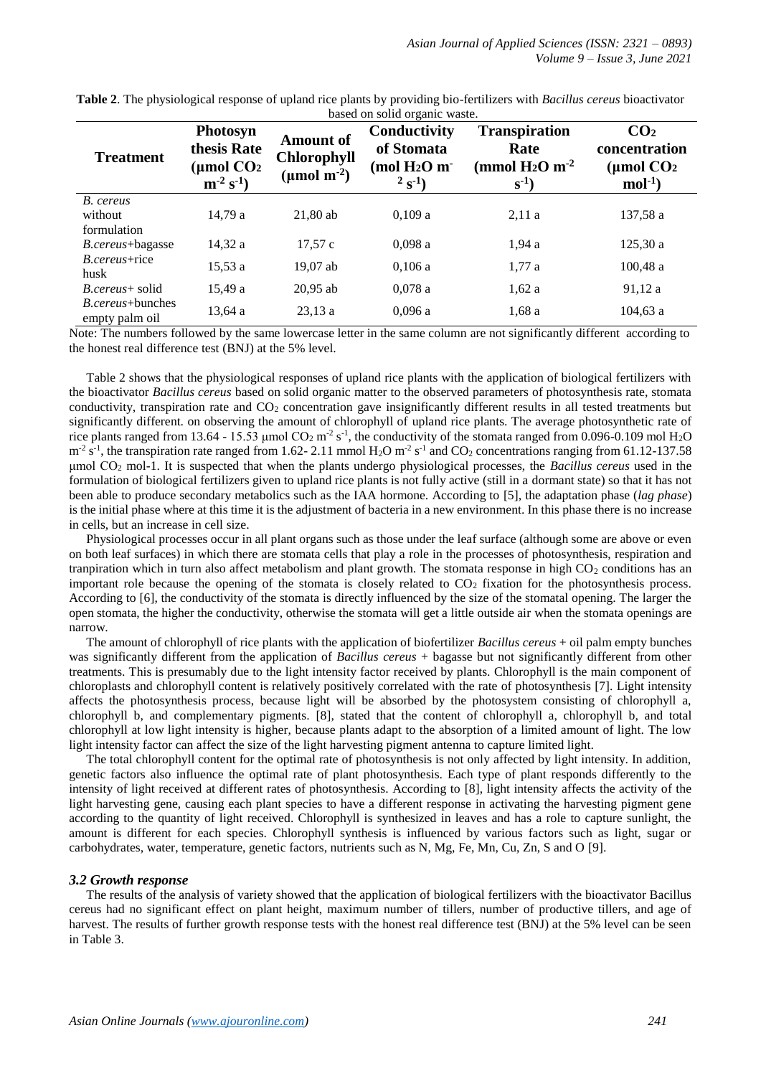|                                            |                                                                           |                                                                         | based on solid organic waste.                                              |                                                                            |                                                            |
|--------------------------------------------|---------------------------------------------------------------------------|-------------------------------------------------------------------------|----------------------------------------------------------------------------|----------------------------------------------------------------------------|------------------------------------------------------------|
| <b>Treatment</b>                           | Photosyn<br>thesis Rate<br>(µmol CO2<br>$\mathbf{m}^{-2} \mathbf{s}^{-1}$ | <b>Amount of</b><br><b>Chlorophyll</b><br>( $\mu$ mol m <sup>-2</sup> ) | Conductivity<br>of Stomata<br>(mol $H_2O$ m <sup>-</sup><br>$2^{2} S^{-1}$ | <b>Transpiration</b><br>Rate<br>(mmol $H_2O$ m <sup>-2</sup><br>$S^{-1}$ ) | CO <sub>2</sub><br>concentration<br>(µmol $CO2$<br>$mol-1$ |
| B. cereus<br>without<br>formulation        | 14.79a                                                                    | $21.80$ ab                                                              | 0.109a                                                                     | 2,11a                                                                      | 137,58 a                                                   |
| <i>B.cereus</i> +bagasse                   | 14.32 a                                                                   | 17.57c                                                                  | 0.098a                                                                     | 1,94a                                                                      | 125,30a                                                    |
| <i>B.cereus</i> +rice<br>husk              | 15,53a                                                                    | 19,07 ab                                                                | 0.106a                                                                     | 1,77a                                                                      | 100,48a                                                    |
| <i>B.cereus</i> + solid                    | 15,49a                                                                    | $20.95$ ab                                                              | 0.078a                                                                     | 1,62a                                                                      | 91,12a                                                     |
| <i>B.cereus</i> +bunches<br>empty palm oil | 13,64 a                                                                   | 23.13a                                                                  | 0,096a                                                                     | 1,68a                                                                      | $104,63$ a                                                 |

**Table 2**. The physiological response of upland rice plants by providing bio-fertilizers with *Bacillus cereus* bioactivator based on solid organic waste.

Note: The numbers followed by the same lowercase letter in the same column are not significantly different according to the honest real difference test (BNJ) at the 5% level.

Table 2 shows that the physiological responses of upland rice plants with the application of biological fertilizers with the bioactivator *Bacillus cereus* based on solid organic matter to the observed parameters of photosynthesis rate, stomata conductivity, transpiration rate and  $CO<sub>2</sub>$  concentration gave insignificantly different results in all tested treatments but significantly different. on observing the amount of chlorophyll of upland rice plants. The average photosynthetic rate of rice plants ranged from 13.64 - 15.53 µmol  $CO_2$  m<sup>-2</sup> s<sup>-1</sup>, the conductivity of the stomata ranged from 0.096-0.109 mol H<sub>2</sub>O  $m^2 s^1$ , the transpiration rate ranged from 1.62-2.11 mmol H<sub>2</sub>O  $m^2 s^1$  and CO<sub>2</sub> concentrations ranging from 61.12-137.58 μmol CO<sup>2</sup> mol-1. It is suspected that when the plants undergo physiological processes, the *Bacillus cereus* used in the formulation of biological fertilizers given to upland rice plants is not fully active (still in a dormant state) so that it has not been able to produce secondary metabolics such as the IAA hormone. According to [5], the adaptation phase (*lag phase*) is the initial phase where at this time it is the adjustment of bacteria in a new environment. In this phase there is no increase in cells, but an increase in cell size.

Physiological processes occur in all plant organs such as those under the leaf surface (although some are above or even on both leaf surfaces) in which there are stomata cells that play a role in the processes of photosynthesis, respiration and tranpiration which in turn also affect metabolism and plant growth. The stomata response in high  $CO<sub>2</sub>$  conditions has an important role because the opening of the stomata is closely related to  $CO<sub>2</sub>$  fixation for the photosynthesis process. According to [6], the conductivity of the stomata is directly influenced by the size of the stomatal opening. The larger the open stomata, the higher the conductivity, otherwise the stomata will get a little outside air when the stomata openings are narrow.

The amount of chlorophyll of rice plants with the application of biofertilizer *Bacillus cereus* + oil palm empty bunches was significantly different from the application of *Bacillus cereus* + bagasse but not significantly different from other treatments. This is presumably due to the light intensity factor received by plants. Chlorophyll is the main component of chloroplasts and chlorophyll content is relatively positively correlated with the rate of photosynthesis [7]. Light intensity affects the photosynthesis process, because light will be absorbed by the photosystem consisting of chlorophyll a, chlorophyll b, and complementary pigments. [8], stated that the content of chlorophyll a, chlorophyll b, and total chlorophyll at low light intensity is higher, because plants adapt to the absorption of a limited amount of light. The low light intensity factor can affect the size of the light harvesting pigment antenna to capture limited light.

The total chlorophyll content for the optimal rate of photosynthesis is not only affected by light intensity. In addition, genetic factors also influence the optimal rate of plant photosynthesis. Each type of plant responds differently to the intensity of light received at different rates of photosynthesis. According to [8], light intensity affects the activity of the light harvesting gene, causing each plant species to have a different response in activating the harvesting pigment gene according to the quantity of light received. Chlorophyll is synthesized in leaves and has a role to capture sunlight, the amount is different for each species. Chlorophyll synthesis is influenced by various factors such as light, sugar or carbohydrates, water, temperature, genetic factors, nutrients such as N, Mg, Fe, Mn, Cu, Zn, S and O [9].

## *3.2 Growth response*

The results of the analysis of variety showed that the application of biological fertilizers with the bioactivator Bacillus cereus had no significant effect on plant height, maximum number of tillers, number of productive tillers, and age of harvest. The results of further growth response tests with the honest real difference test (BNJ) at the 5% level can be seen in Table 3.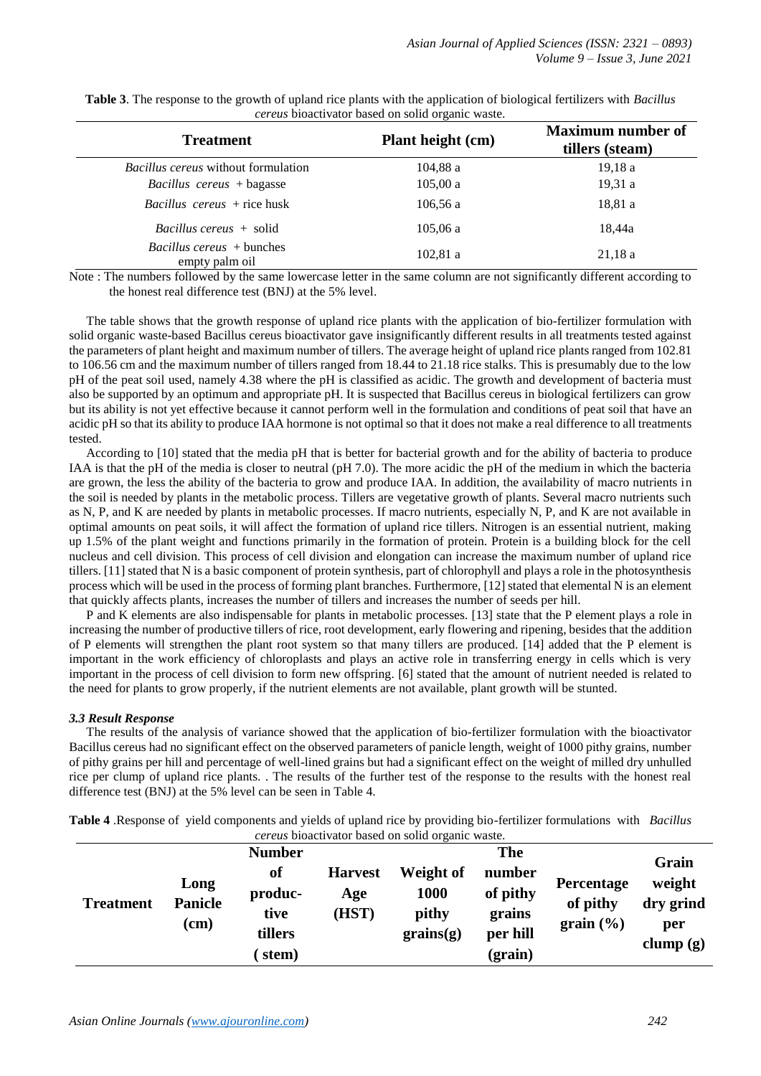| <b>Treatment</b>                                   | <b>Plant height (cm)</b> | <b>Maximum number of</b><br>tillers (steam) |
|----------------------------------------------------|--------------------------|---------------------------------------------|
| <i>Bacillus cereus</i> without formulation         | 104,88a                  | 19,18a                                      |
| $Bacillus$ cereus + bagasse                        | 105,00a                  | 19,31a                                      |
| $Bacillus$ cereus + rice husk                      | 106,56a                  | 18,81 a                                     |
| <i>Bacillus cereus</i> + solid                     | 105,06a                  | 18.44a                                      |
| <i>Bacillus cereus</i> + bunches<br>empty palm oil | 102,81a                  | 21,18a                                      |

**Table 3**. The response to the growth of upland rice plants with the application of biological fertilizers with *Bacillus cereus* bioactivator based on solid organic waste.

Note : The numbers followed by the same lowercase letter in the same column are not significantly different according to the honest real difference test (BNJ) at the 5% level.

The table shows that the growth response of upland rice plants with the application of bio-fertilizer formulation with solid organic waste-based Bacillus cereus bioactivator gave insignificantly different results in all treatments tested against the parameters of plant height and maximum number of tillers. The average height of upland rice plants ranged from 102.81 to 106.56 cm and the maximum number of tillers ranged from 18.44 to 21.18 rice stalks. This is presumably due to the low pH of the peat soil used, namely 4.38 where the pH is classified as acidic. The growth and development of bacteria must also be supported by an optimum and appropriate pH. It is suspected that Bacillus cereus in biological fertilizers can grow but its ability is not yet effective because it cannot perform well in the formulation and conditions of peat soil that have an acidic pH so that its ability to produce IAA hormone is not optimal so that it does not make a real difference to all treatments tested.

According to [10] stated that the media pH that is better for bacterial growth and for the ability of bacteria to produce IAA is that the pH of the media is closer to neutral (pH 7.0). The more acidic the pH of the medium in which the bacteria are grown, the less the ability of the bacteria to grow and produce IAA. In addition, the availability of macro nutrients in the soil is needed by plants in the metabolic process. Tillers are vegetative growth of plants. Several macro nutrients such as N, P, and K are needed by plants in metabolic processes. If macro nutrients, especially N, P, and K are not available in optimal amounts on peat soils, it will affect the formation of upland rice tillers. Nitrogen is an essential nutrient, making up 1.5% of the plant weight and functions primarily in the formation of protein. Protein is a building block for the cell nucleus and cell division. This process of cell division and elongation can increase the maximum number of upland rice tillers. [11] stated that N is a basic component of protein synthesis, part of chlorophyll and plays a role in the photosynthesis process which will be used in the process of forming plant branches. Furthermore, [12] stated that elemental N is an element that quickly affects plants, increases the number of tillers and increases the number of seeds per hill.

P and K elements are also indispensable for plants in metabolic processes. [13] state that the P element plays a role in increasing the number of productive tillers of rice, root development, early flowering and ripening, besides that the addition of P elements will strengthen the plant root system so that many tillers are produced. [14] added that the P element is important in the work efficiency of chloroplasts and plays an active role in transferring energy in cells which is very important in the process of cell division to form new offspring. [6] stated that the amount of nutrient needed is related to the need for plants to grow properly, if the nutrient elements are not available, plant growth will be stunted.

## *3.3 Result Response*

The results of the analysis of variance showed that the application of bio-fertilizer formulation with the bioactivator Bacillus cereus had no significant effect on the observed parameters of panicle length, weight of 1000 pithy grains, number of pithy grains per hill and percentage of well-lined grains but had a significant effect on the weight of milled dry unhulled rice per clump of upland rice plants. . The results of the further test of the response to the results with the honest real difference test (BNJ) at the 5% level can be seen in Table 4.

|                                                          |  |  |  | Table 4 .Response of yield components and yields of upland rice by providing bio-fertilizer formulations with Bacillus |  |  |  |
|----------------------------------------------------------|--|--|--|------------------------------------------------------------------------------------------------------------------------|--|--|--|
| <i>cereus</i> bioactivator based on solid organic waste. |  |  |  |                                                                                                                        |  |  |  |

|                  |                                | <b>Number</b>                             |                                |                                         | The                                                 |                                                        |                                                    |
|------------------|--------------------------------|-------------------------------------------|--------------------------------|-----------------------------------------|-----------------------------------------------------|--------------------------------------------------------|----------------------------------------------------|
| <b>Treatment</b> | Long<br><b>Panicle</b><br>(cm) | of<br>produc-<br>tive<br>tillers<br>stem) | <b>Harvest</b><br>Age<br>(HST) | Weight of<br>1000<br>pithy<br>grains(g) | number<br>of pithy<br>grains<br>per hill<br>(grain) | <b>Percentage</b><br>of pithy<br>grain $(\frac{6}{6})$ | Grain<br>weight<br>dry grind<br>per<br>clump $(g)$ |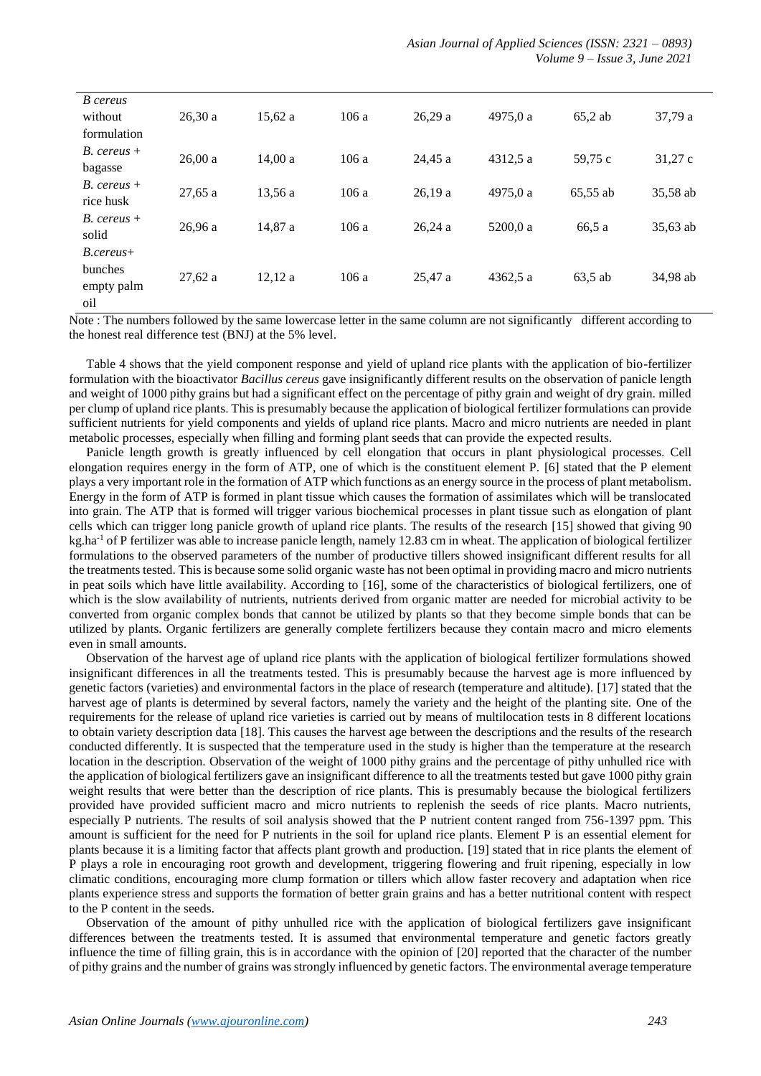| B cereus<br>without        | 26.30a  | 15.62a  | 106a |         |          |           |          |
|----------------------------|---------|---------|------|---------|----------|-----------|----------|
| formulation                |         |         |      | 26,29a  | 4975,0 a | $65,2$ ab | 37,79 a  |
| $B.$ cereus +              |         |         |      |         |          |           |          |
| bagasse                    | 26,00a  | 14.00a  | 106a | 24.45a  | 4312.5 a | 59,75 c   | 31,27c   |
| $B.$ cereus +              | 27,65a  | 13.56 a | 106a | 26,19a  | 4975.0 a | 65,55 ab  | 35,58 ab |
| rice husk<br>$B.$ cereus + |         |         |      |         |          |           |          |
| solid                      | 26,96 a | 14,87 a | 106a | 26,24a  | 5200.0 a | 66,5 a    | 35,63 ab |
| $B. cereus+$               |         |         |      |         |          |           |          |
| bunches                    | 27,62a  | 12.12a  | 106a | 25.47 a | 4362,5 a | 63,5 ab   | 34,98 ab |
| empty palm                 |         |         |      |         |          |           |          |
| oil                        |         |         |      |         |          |           |          |

Note : The numbers followed by the same lowercase letter in the same column are not significantly different according to the honest real difference test (BNJ) at the 5% level.

Table 4 shows that the yield component response and yield of upland rice plants with the application of bio-fertilizer formulation with the bioactivator *Bacillus cereus* gave insignificantly different results on the observation of panicle length and weight of 1000 pithy grains but had a significant effect on the percentage of pithy grain and weight of dry grain. milled per clump of upland rice plants. This is presumably because the application of biological fertilizer formulations can provide sufficient nutrients for yield components and yields of upland rice plants. Macro and micro nutrients are needed in plant metabolic processes, especially when filling and forming plant seeds that can provide the expected results.

Panicle length growth is greatly influenced by cell elongation that occurs in plant physiological processes. Cell elongation requires energy in the form of ATP, one of which is the constituent element P. [6] stated that the P element plays a very important role in the formation of ATP which functions as an energy source in the process of plant metabolism. Energy in the form of ATP is formed in plant tissue which causes the formation of assimilates which will be translocated into grain. The ATP that is formed will trigger various biochemical processes in plant tissue such as elongation of plant cells which can trigger long panicle growth of upland rice plants. The results of the research [15] showed that giving 90  $kg$ .ha<sup>-1</sup> of P fertilizer was able to increase panicle length, namely 12.83 cm in wheat. The application of biological fertilizer formulations to the observed parameters of the number of productive tillers showed insignificant different results for all the treatments tested. This is because some solid organic waste has not been optimal in providing macro and micro nutrients in peat soils which have little availability. According to [16], some of the characteristics of biological fertilizers, one of which is the slow availability of nutrients, nutrients derived from organic matter are needed for microbial activity to be converted from organic complex bonds that cannot be utilized by plants so that they become simple bonds that can be utilized by plants. Organic fertilizers are generally complete fertilizers because they contain macro and micro elements even in small amounts.

Observation of the harvest age of upland rice plants with the application of biological fertilizer formulations showed insignificant differences in all the treatments tested. This is presumably because the harvest age is more influenced by genetic factors (varieties) and environmental factors in the place of research (temperature and altitude). [17] stated that the harvest age of plants is determined by several factors, namely the variety and the height of the planting site. One of the requirements for the release of upland rice varieties is carried out by means of multilocation tests in 8 different locations to obtain variety description data [18]. This causes the harvest age between the descriptions and the results of the research conducted differently. It is suspected that the temperature used in the study is higher than the temperature at the research location in the description. Observation of the weight of 1000 pithy grains and the percentage of pithy unhulled rice with the application of biological fertilizers gave an insignificant difference to all the treatments tested but gave 1000 pithy grain weight results that were better than the description of rice plants. This is presumably because the biological fertilizers provided have provided sufficient macro and micro nutrients to replenish the seeds of rice plants. Macro nutrients, especially P nutrients. The results of soil analysis showed that the P nutrient content ranged from 756-1397 ppm. This amount is sufficient for the need for P nutrients in the soil for upland rice plants. Element P is an essential element for plants because it is a limiting factor that affects plant growth and production. [19] stated that in rice plants the element of P plays a role in encouraging root growth and development, triggering flowering and fruit ripening, especially in low climatic conditions, encouraging more clump formation or tillers which allow faster recovery and adaptation when rice plants experience stress and supports the formation of better grain grains and has a better nutritional content with respect to the P content in the seeds.

Observation of the amount of pithy unhulled rice with the application of biological fertilizers gave insignificant differences between the treatments tested. It is assumed that environmental temperature and genetic factors greatly influence the time of filling grain, this is in accordance with the opinion of [20] reported that the character of the number of pithy grains and the number of grains was strongly influenced by genetic factors. The environmental average temperature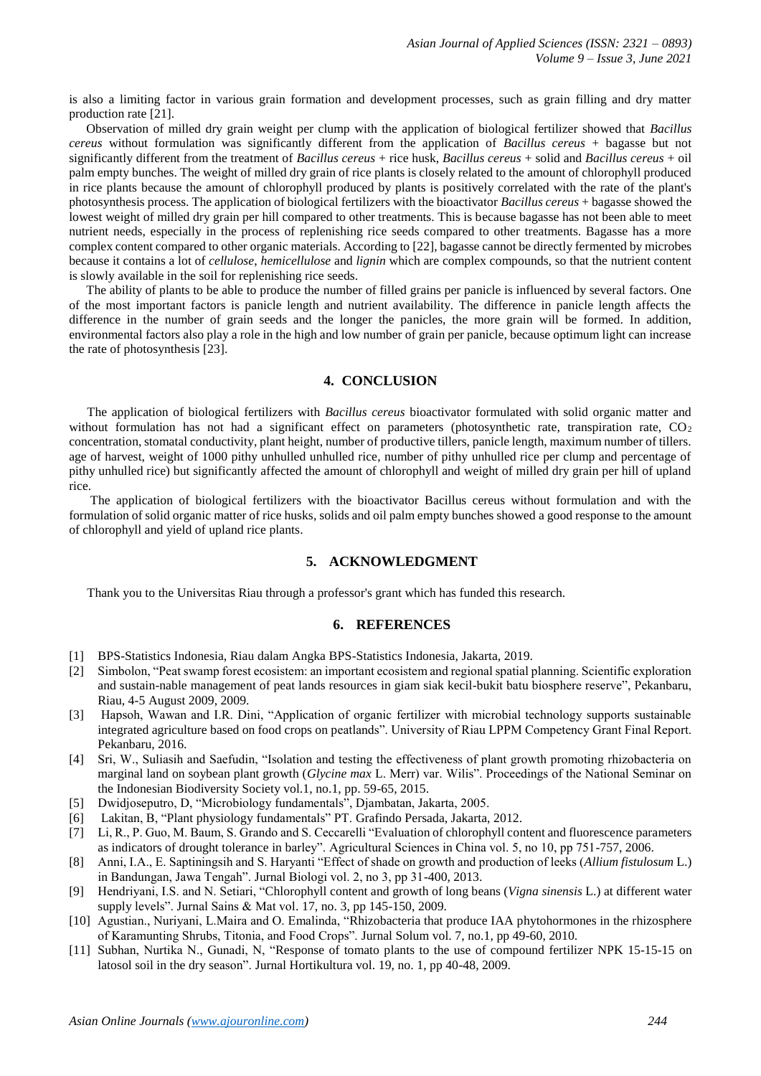is also a limiting factor in various grain formation and development processes, such as grain filling and dry matter production rate [21].

Observation of milled dry grain weight per clump with the application of biological fertilizer showed that *Bacillus cereus* without formulation was significantly different from the application of *Bacillus cereus* + bagasse but not significantly different from the treatment of *Bacillus cereus* + rice husk, *Bacillus cereus* + solid and *Bacillus cereus* + oil palm empty bunches. The weight of milled dry grain of rice plants is closely related to the amount of chlorophyll produced in rice plants because the amount of chlorophyll produced by plants is positively correlated with the rate of the plant's photosynthesis process. The application of biological fertilizers with the bioactivator *Bacillus cereus* + bagasse showed the lowest weight of milled dry grain per hill compared to other treatments. This is because bagasse has not been able to meet nutrient needs, especially in the process of replenishing rice seeds compared to other treatments. Bagasse has a more complex content compared to other organic materials. According to [22], bagasse cannot be directly fermented by microbes because it contains a lot of *cellulose*, *hemicellulose* and *lignin* which are complex compounds, so that the nutrient content is slowly available in the soil for replenishing rice seeds.

The ability of plants to be able to produce the number of filled grains per panicle is influenced by several factors. One of the most important factors is panicle length and nutrient availability. The difference in panicle length affects the difference in the number of grain seeds and the longer the panicles, the more grain will be formed. In addition, environmental factors also play a role in the high and low number of grain per panicle, because optimum light can increase the rate of photosynthesis [23].

# **4. CONCLUSION**

The application of biological fertilizers with *Bacillus cereus* bioactivator formulated with solid organic matter and without formulation has not had a significant effect on parameters (photosynthetic rate, transpiration rate,  $CO<sub>2</sub>$ concentration, stomatal conductivity, plant height, number of productive tillers, panicle length, maximum number of tillers. age of harvest, weight of 1000 pithy unhulled unhulled rice, number of pithy unhulled rice per clump and percentage of pithy unhulled rice) but significantly affected the amount of chlorophyll and weight of milled dry grain per hill of upland rice.

The application of biological fertilizers with the bioactivator Bacillus cereus without formulation and with the formulation of solid organic matter of rice husks, solids and oil palm empty bunches showed a good response to the amount of chlorophyll and yield of upland rice plants.

#### **5. ACKNOWLEDGMENT**

Thank you to the Universitas Riau through a professor's grant which has funded this research.

## **6. REFERENCES**

- [1] BPS-Statistics Indonesia, Riau dalam Angka BPS-Statistics Indonesia, Jakarta, 2019.
- [2] Simbolon, "Peat swamp forest ecosistem: an important ecosistem and regional spatial planning. Scientific exploration and sustain-nable management of peat lands resources in giam siak kecil-bukit batu biosphere reserve", Pekanbaru, Riau, 4-5 August 2009, 2009.
- [3] Hapsoh, Wawan and I.R. Dini, "Application of organic fertilizer with microbial technology supports sustainable integrated agriculture based on food crops on peatlands". University of Riau LPPM Competency Grant Final Report. Pekanbaru, 2016.
- [4] Sri, W., Suliasih and Saefudin, "Isolation and testing the effectiveness of plant growth promoting rhizobacteria on marginal land on soybean plant growth (*Glycine max* L. Merr) var. Wilis". Proceedings of the National Seminar on the Indonesian Biodiversity Society vol.1, no.1, pp. 59-65, 2015.
- [5] Dwidjoseputro, D, "Microbiology fundamentals", Djambatan, Jakarta, 2005.
- [6] Lakitan, B, "Plant physiology fundamentals" PT. Grafindo Persada, Jakarta, 2012.
- [7] Li, R., P. Guo, M. Baum, S. Grando and S. Ceccarelli "Evaluation of chlorophyll content and fluorescence parameters as indicators of drought tolerance in barley". Agricultural Sciences in China vol. 5, no 10, pp 751-757, 2006.
- [8] Anni, I.A., E. Saptiningsih and S. Haryanti "Effect of shade on growth and production of leeks (*Allium fistulosum* L.) in Bandungan, Jawa Tengah". Jurnal Biologi vol. 2, no 3, pp 31-400, 2013.
- [9] Hendriyani, I.S. and N. Setiari, "Chlorophyll content and growth of long beans (*Vigna sinensis* L.) at different water supply levels". Jurnal Sains & Mat vol. 17, no. 3, pp 145-150, 2009.
- [10] Agustian., Nuriyani, L.Maira and O. Emalinda, "Rhizobacteria that produce IAA phytohormones in the rhizosphere of Karamunting Shrubs, Titonia, and Food Crops". Jurnal Solum vol. 7, no.1, pp 49-60, 2010.
- [11] Subhan, Nurtika N., Gunadi, N, "Response of tomato plants to the use of compound fertilizer NPK 15-15-15 on latosol soil in the dry season". Jurnal Hortikultura vol. 19, no. 1, pp 40-48, 2009.